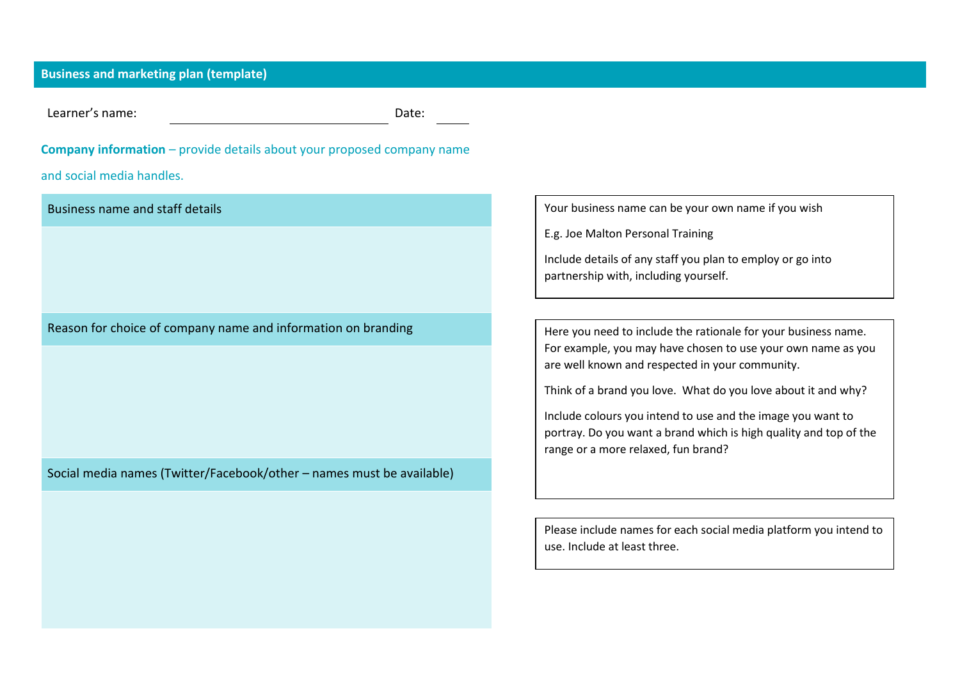## **Business and marketing plan (template)**

Learner's name: Date:

# **Company information** – provide details about your proposed company name

and social media handles.

Business name and staff details

Reason for choice of company name and information on branding

Social media names (Twitter/Facebook/other – names must be available)

Your business name can be your own name if you wish

E.g. Joe Malton Personal Training

Include details of any staff you plan to employ or go into partnership with, including yourself.

Here you need to include the rationale for your business name. For example, you may have chosen to use your own name as you are well known and respected in your community.

Think of a brand you love. What do you love about it and why?

Include colours you intend to use and the image you want to portray. Do you want a brand which is high quality and top of the range or a more relaxed, fun brand?

Please include names for each social media platform you intend to use. Include at least three.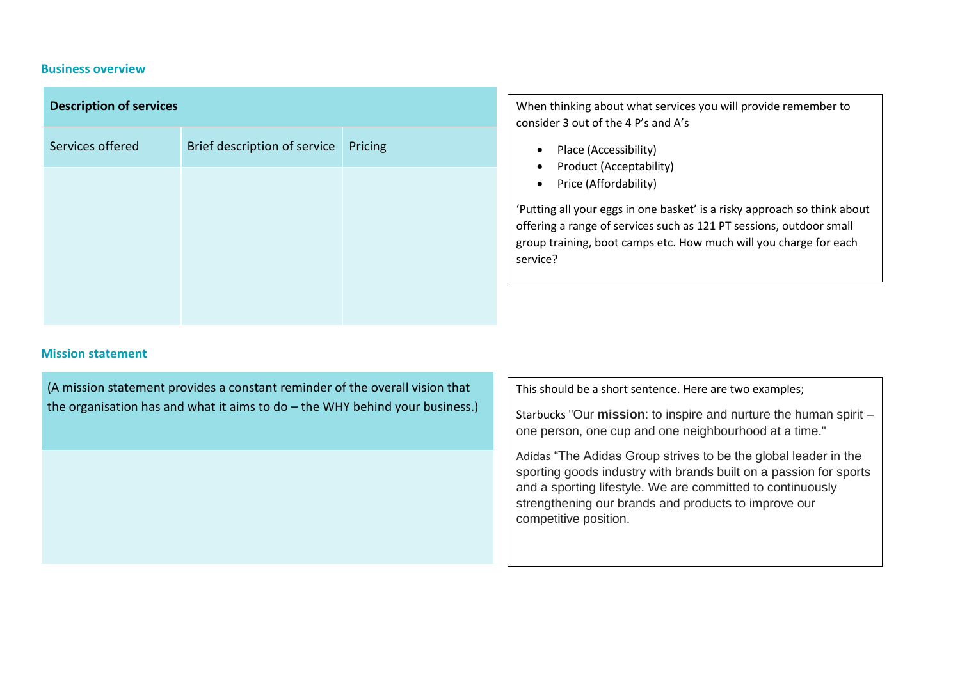#### **Business overview**

| <b>Description of services</b> |                                       |  |
|--------------------------------|---------------------------------------|--|
| Services offered               | Brief description of service  Pricing |  |
|                                |                                       |  |
|                                |                                       |  |
|                                |                                       |  |
|                                |                                       |  |

When thinking about what services you will provide remember to consider 3 out of the 4 P's and A's

- Place (Accessibility)
- Product (Acceptability)
- Price (Affordability)

'Putting all your eggs in one basket' is a risky approach so think about offering a range of services such as 121 PT sessions, outdoor small group training, boot camps etc. How much will you charge for each service?

#### **Mission statement**

(A mission statement provides a constant reminder of the overall vision that the organisation has and what it aims to do – the WHY behind your business.)

This should be a short sentence. Here are two examples;

Starbucks "Our **mission**: to inspire and nurture the human spirit – one person, one cup and one neighbourhood at a time."

Adidas "The Adidas Group strives to be the global leader in the sporting goods industry with brands built on a passion for sports and a sporting lifestyle. We are committed to continuously strengthening our brands and products to improve our competitive position.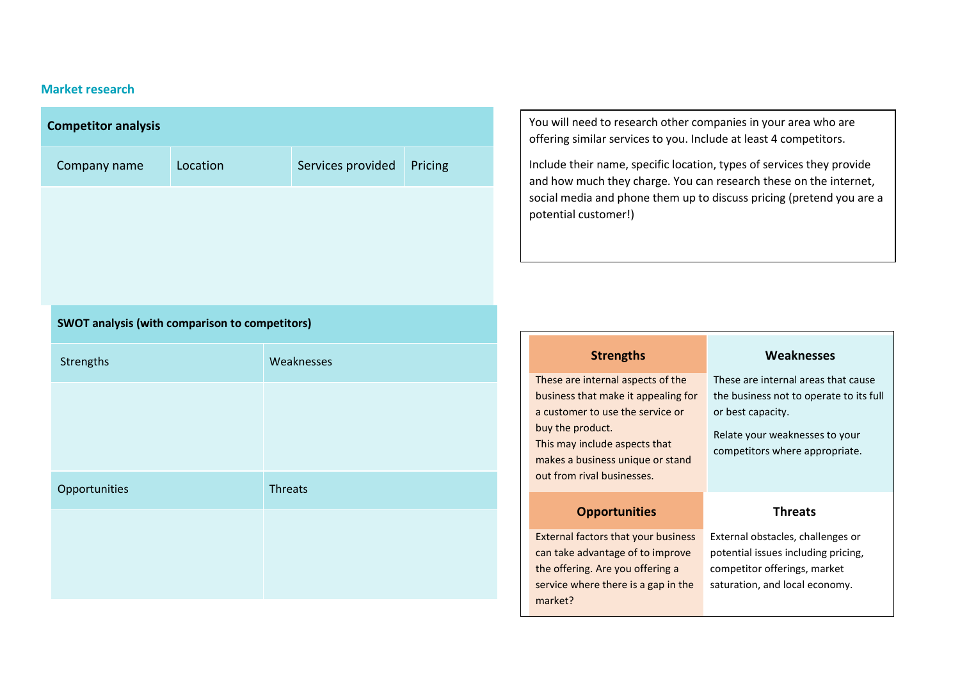## **Market research**

| <b>Competitor analysis</b>                            |          |                   |         |
|-------------------------------------------------------|----------|-------------------|---------|
| Company name                                          | Location | Services provided | Pricing |
|                                                       |          |                   |         |
|                                                       |          |                   |         |
|                                                       |          |                   |         |
|                                                       |          |                   |         |
| <b>SWOT analysis (with comparison to competitors)</b> |          |                   |         |
| Strengths                                             |          | Weaknesses        |         |
|                                                       |          |                   |         |
|                                                       |          |                   |         |
|                                                       |          |                   |         |
| Opportunities                                         |          | <b>Threats</b>    |         |
|                                                       |          |                   |         |
|                                                       |          |                   |         |
|                                                       |          |                   |         |

You will need to research other companies in your area who are offering similar services to you. Include at least 4 competitors.

Include their name, specific location, types of services they provide and how much they charge. You can research these on the internet, social media and phone them up to discuss pricing (pretend you are a potential customer!)

| <b>Strengths</b>                                                                                                                                                                                                                    | Weaknesses                                                                                                                                                              |
|-------------------------------------------------------------------------------------------------------------------------------------------------------------------------------------------------------------------------------------|-------------------------------------------------------------------------------------------------------------------------------------------------------------------------|
| These are internal aspects of the<br>business that make it appealing for<br>a customer to use the service or<br>buy the product.<br>This may include aspects that<br>makes a business unique or stand<br>out from rival businesses. | These are internal areas that cause<br>the business not to operate to its full<br>or best capacity.<br>Relate your weaknesses to your<br>competitors where appropriate. |
| <b>Opportunities</b>                                                                                                                                                                                                                | <b>Threats</b>                                                                                                                                                          |
| External factors that your business<br>can take advantage of to improve<br>the offering. Are you offering a<br>service where there is a gap in the                                                                                  | External obstacles, challenges or<br>potential issues including pricing,<br>competitor offerings, market<br>saturation, and local economy.                              |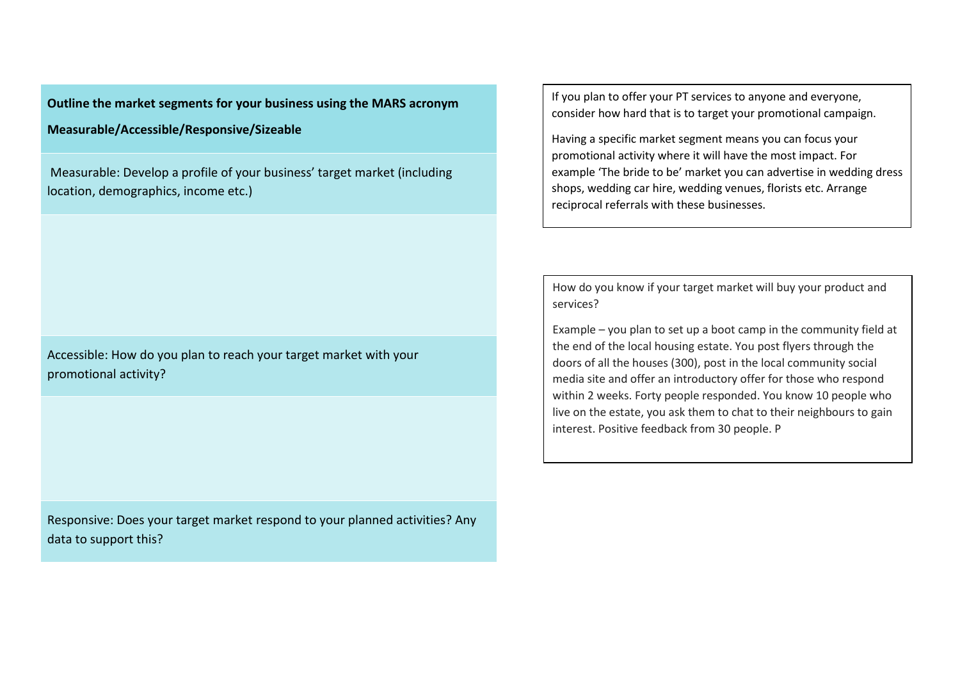**Outline the market segments for your business using the MARS acronym**

**Measurable/Accessible/Responsive/Sizeable**

Measurable: Develop a profile of your business' target market (including location, demographics, income etc.)

Accessible: How do you plan to reach your target market with your promotional activity?

Responsive: Does your target market respond to your planned activities? Any data to support this?

If you plan to offer your PT services to anyone and everyone, consider how hard that is to target your promotional campaign.

Having a specific market segment means you can focus your promotional activity where it will have the most impact. For example 'The bride to be' market you can advertise in wedding dress shops, wedding car hire, wedding venues, florists etc. Arrange reciprocal referrals with these businesses.

How do you know if your target market will buy your product and services?

Example – you plan to set up a boot camp in the community field at the end of the local housing estate. You post flyers through the doors of all the houses (300), post in the local community social media site and offer an introductory offer for those who respond within 2 weeks. Forty people responded. You know 10 people who live on the estate, you ask them to chat to their neighbours to gain interest. Positive feedback from 30 people. P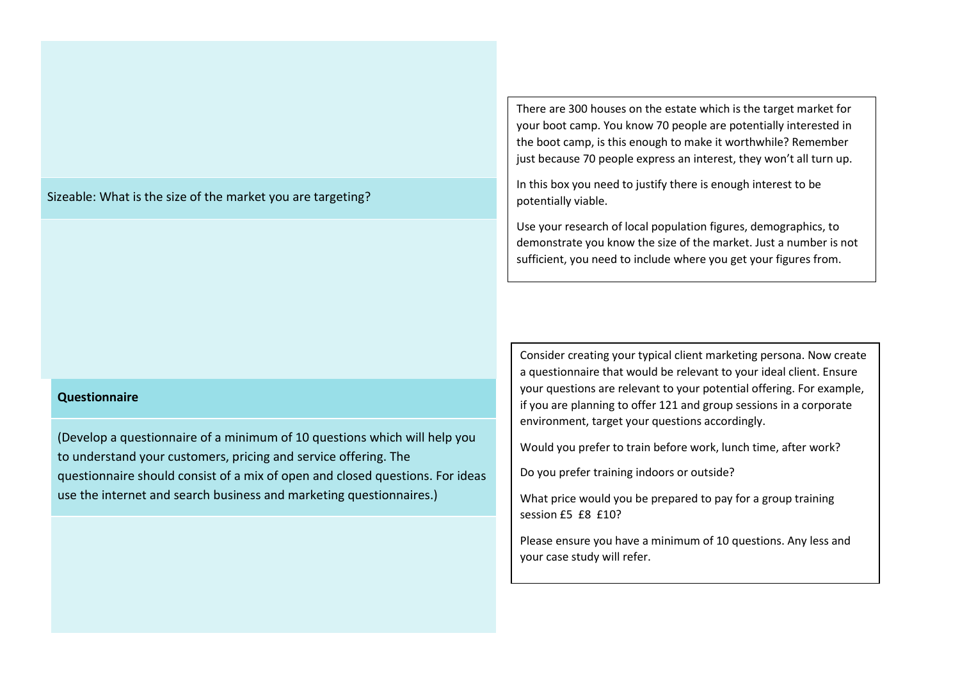Sizeable: What is the size of the market you are targeting?

#### **Questionnaire**

(Develop a questionnaire of a minimum of 10 questions which will help you to understand your customers, pricing and service offering. The questionnaire should consist of a mix of open and closed questions. For ideas use the internet and search business and marketing questionnaires.)

There are 300 houses on the estate which is the target market for your boot camp. You know 70 people are potentially interested in the boot camp, is this enough to make it worthwhile? Remember just because 70 people express an interest, they won't all turn up.

In this box you need to justify there is enough interest to be potentially viable.

Use your research of local population figures, demographics, to demonstrate you know the size of the market. Just a number is not sufficient, you need to include where you get your figures from.

Consider creating your typical client marketing persona. Now create a questionnaire that would be relevant to your ideal client. Ensure your questions are relevant to your potential offering. For example, if you are planning to offer 121 and group sessions in a corporate environment, target your questions accordingly.

Would you prefer to train before work, lunch time, after work?

Do you prefer training indoors or outside?

What price would you be prepared to pay for a group training session £5 £8 £10?

Please ensure you have a minimum of 10 questions. Any less and your case study will refer.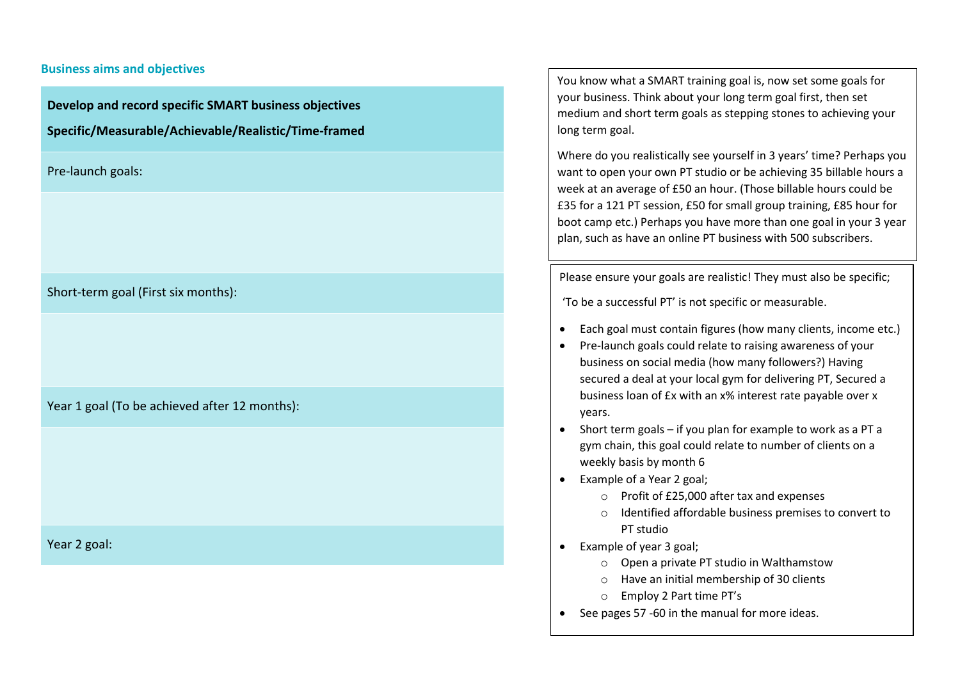#### **Business aims and objectives**

**Develop and record specific SMART business objectives** 

**Specific/Measurable/Achievable/Realistic/Time-framed**

Pre-launch goals:

Short-term goal (First six months):

Year 1 goal (To be achieved after 12 months):

Year 2 goal:

You know what a SMART training goal is, now set some goals for your business. Think about your long term goal first, then set medium and short term goals as stepping stones to achieving your long term goal.

Where do you realistically see yourself in 3 years' time? Perhaps you want to open your own PT studio or be achieving 35 billable hours a week at an average of £50 an hour. (Those billable hours could be £35 for a 121 PT session, £50 for small group training, £85 hour for boot camp etc.) Perhaps you have more than one goal in your 3 year plan, such as have an online PT business with 500 subscribers.

Please ensure your goals are realistic! They must also be specific;

'To be a successful PT' is not specific or measurable.

- Each goal must contain figures (how many clients, income etc.)
- Pre-launch goals could relate to raising awareness of your business on social media (how many followers?) Having secured a deal at your local gym for delivering PT, Secured a business loan of £x with an x% interest rate payable over x years.
- Short term goals if you plan for example to work as a PT a gym chain, this goal could relate to number of clients on a weekly basis by month 6
- Example of a Year 2 goal;
	- o Profit of £25,000 after tax and expenses
	- o Identified affordable business premises to convert to PT studio
- Example of year 3 goal;
	- o Open a private PT studio in Walthamstow
	- o Have an initial membership of 30 clients
	- o Employ 2 Part time PT's
- See pages 57 -60 in the manual for more ideas.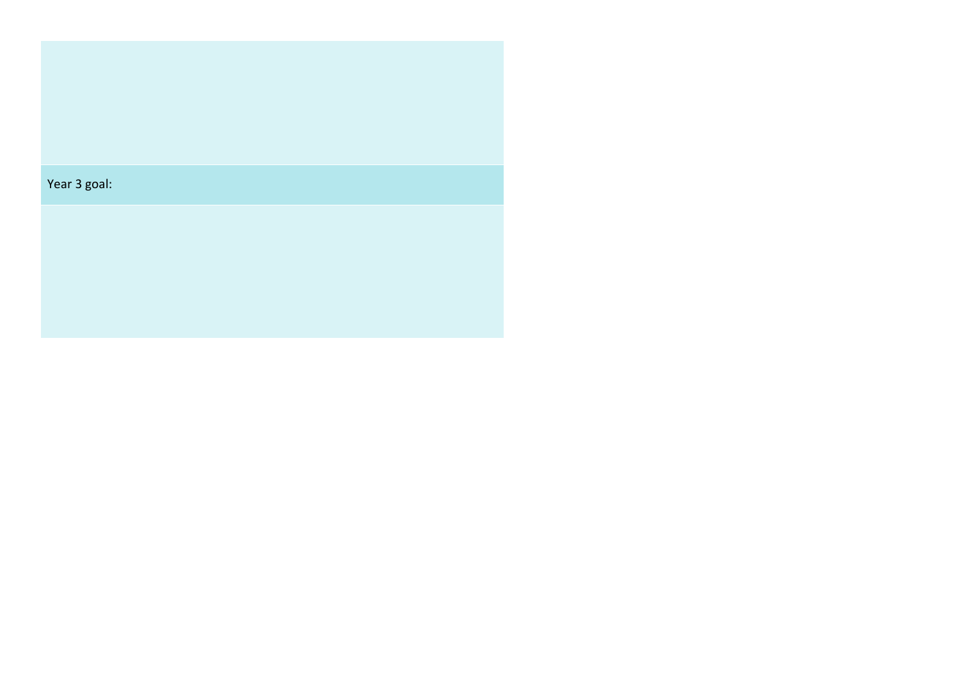| Year 3 goal: |  |  |  |
|--------------|--|--|--|
|              |  |  |  |
|              |  |  |  |
|              |  |  |  |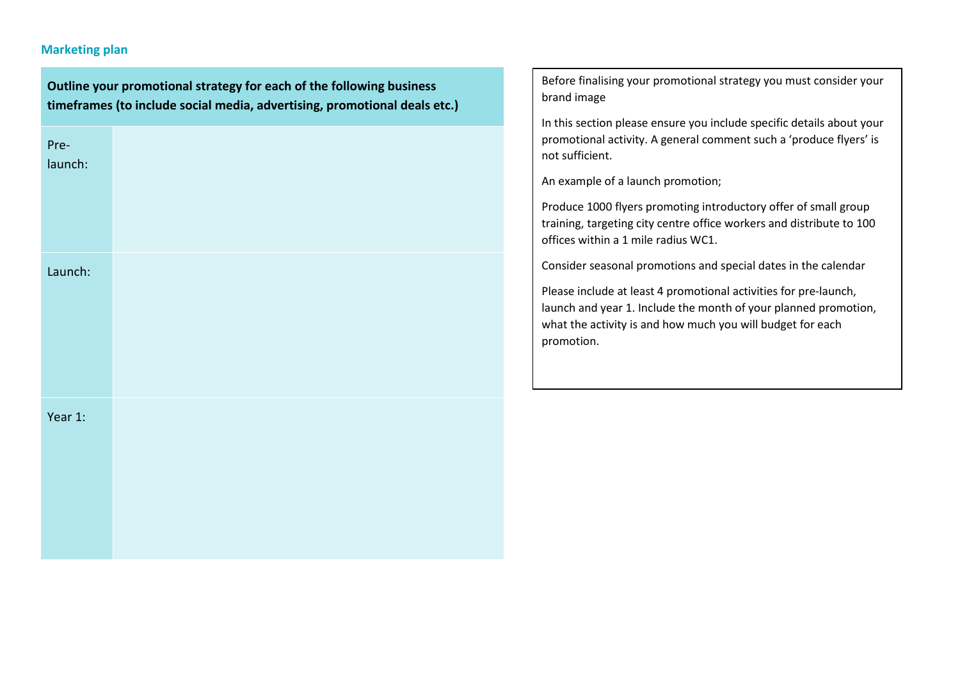## **Marketing plan**

**Outline your promotional strategy for each of the following business timeframes (to include social media, advertising, promotional deals etc.)** Prelaunch: Launch: Year 1: brand image promotion.

Before finalising your promotional strategy you must consider your

In this section please ensure you include specific details about your promotional activity. A general comment such a 'produce flyers' is not sufficient.

An example of a launch promotion;

Produce 1000 flyers promoting introductory offer of small group training, targeting city centre office workers and distribute to 100 offices within a 1 mile radius WC1.

Consider seasonal promotions and special dates in the calendar

Please include at least 4 promotional activities for pre-launch, launch and year 1. Include the month of your planned promotion, what the activity is and how much you will budget for each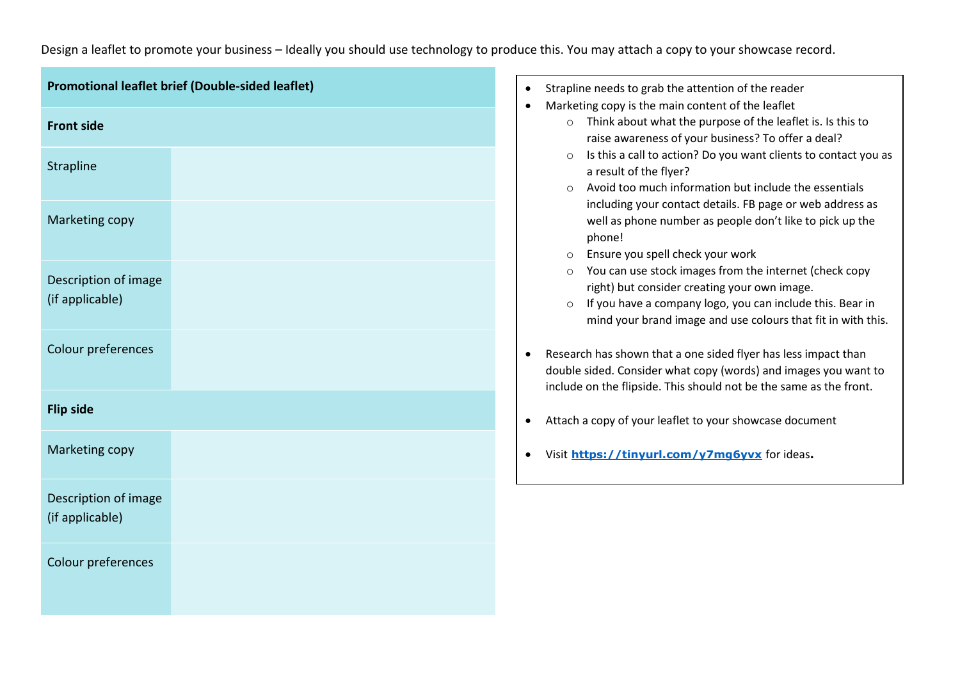# Design a leaflet to promote your business – Ideally you should use technology to produce this. You may attach a copy to your showcase record.

| Promotional leaflet brief (Double-sided leaflet) |  |  |
|--------------------------------------------------|--|--|
| <b>Front side</b>                                |  |  |
| Strapline                                        |  |  |
| Marketing copy                                   |  |  |
| Description of image<br>(if applicable)          |  |  |
| Colour preferences                               |  |  |
| <b>Flip side</b>                                 |  |  |
| Marketing copy                                   |  |  |
| Description of image<br>(if applicable)          |  |  |
| Colour preferences                               |  |  |

| Strapline needs to grab the attention of the reader                                                                                                                                                     |
|---------------------------------------------------------------------------------------------------------------------------------------------------------------------------------------------------------|
| Marketing copy is the main content of the leaflet                                                                                                                                                       |
| Think about what the purpose of the leaflet is. Is this to<br>$\circ$<br>raise awareness of your business? To offer a deal?                                                                             |
| Is this a call to action? Do you want clients to contact you as<br>$\circ$<br>a result of the flyer?                                                                                                    |
| Avoid too much information but include the essentials<br>$\circ$<br>including your contact details. FB page or web address as<br>well as phone number as people don't like to pick up the<br>phone!     |
| Ensure you spell check your work<br>O                                                                                                                                                                   |
| You can use stock images from the internet (check copy<br>$\circ$<br>right) but consider creating your own image.                                                                                       |
| If you have a company logo, you can include this. Bear in<br>$\circ$<br>mind your brand image and use colours that fit in with this.                                                                    |
| Research has shown that a one sided flyer has less impact than<br>double sided. Consider what copy (words) and images you want to<br>include on the flipside. This should not be the same as the front. |
| Attach a copy of your leaflet to your showcase document                                                                                                                                                 |
| Visit https://tinyurl.com/v7mq6yvx for ideas.                                                                                                                                                           |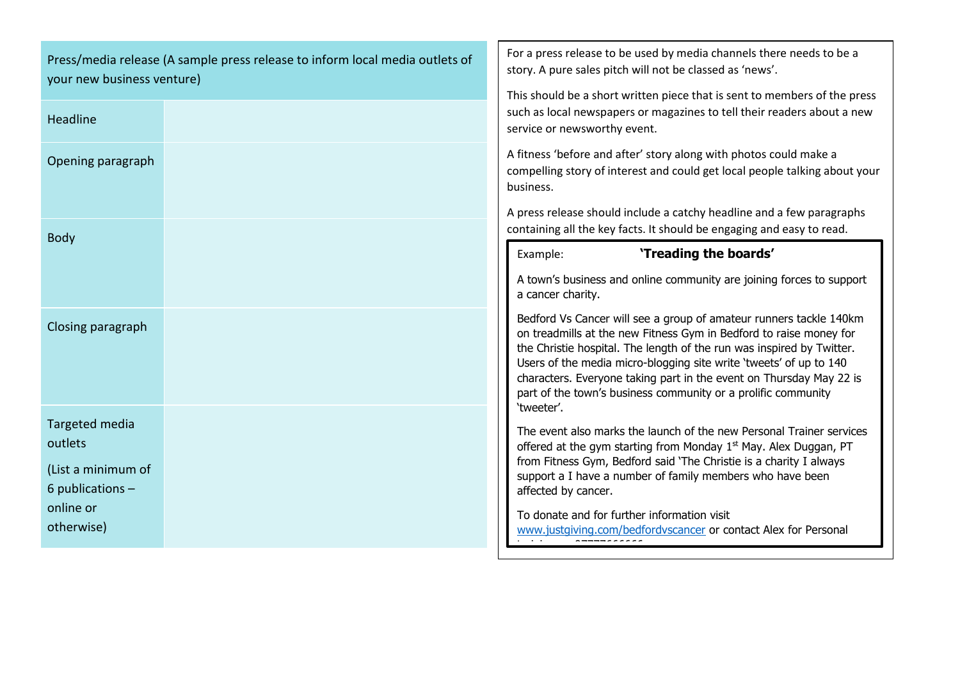| your new business venture)                                            | Press/media release (A sample press release to inform local media outlets of | For a press release to be used by media channels there needs to be a<br>story. A pure sales pitch will not be classed as 'news'.                                                                                                                                                                                                                                                                                                |
|-----------------------------------------------------------------------|------------------------------------------------------------------------------|---------------------------------------------------------------------------------------------------------------------------------------------------------------------------------------------------------------------------------------------------------------------------------------------------------------------------------------------------------------------------------------------------------------------------------|
| Headline                                                              |                                                                              | This should be a short written piece that is sent to members of the press<br>such as local newspapers or magazines to tell their readers about a new<br>service or newsworthy event.                                                                                                                                                                                                                                            |
| Opening paragraph                                                     |                                                                              | A fitness 'before and after' story along with photos could make a<br>compelling story of interest and could get local people talking about your<br>business.                                                                                                                                                                                                                                                                    |
| <b>Body</b>                                                           |                                                                              | A press release should include a catchy headline and a few paragraphs<br>containing all the key facts. It should be engaging and easy to read.                                                                                                                                                                                                                                                                                  |
|                                                                       |                                                                              | 'Treading the boards'<br>Example:                                                                                                                                                                                                                                                                                                                                                                                               |
|                                                                       |                                                                              | A town's business and online community are joining forces to support<br>a cancer charity.                                                                                                                                                                                                                                                                                                                                       |
| Closing paragraph                                                     |                                                                              | Bedford Vs Cancer will see a group of amateur runners tackle 140km<br>on treadmills at the new Fitness Gym in Bedford to raise money for<br>the Christie hospital. The length of the run was inspired by Twitter.<br>Users of the media micro-blogging site write 'tweets' of up to 140<br>characters. Everyone taking part in the event on Thursday May 22 is<br>part of the town's business community or a prolific community |
| Targeted media<br>outlets<br>(List a minimum of<br>6 publications $-$ |                                                                              | 'tweeter'.<br>The event also marks the launch of the new Personal Trainer services<br>offered at the gym starting from Monday 1 <sup>st</sup> May. Alex Duggan, PT<br>from Fitness Gym, Bedford said 'The Christie is a charity I always<br>support a I have a number of family members who have been<br>affected by cancer.                                                                                                    |
| online or<br>otherwise)                                               |                                                                              | To donate and for further information visit<br>www.justgiving.com/bedfordvscancer or contact Alex for Personal<br>$\sim 100$<br>----------                                                                                                                                                                                                                                                                                      |